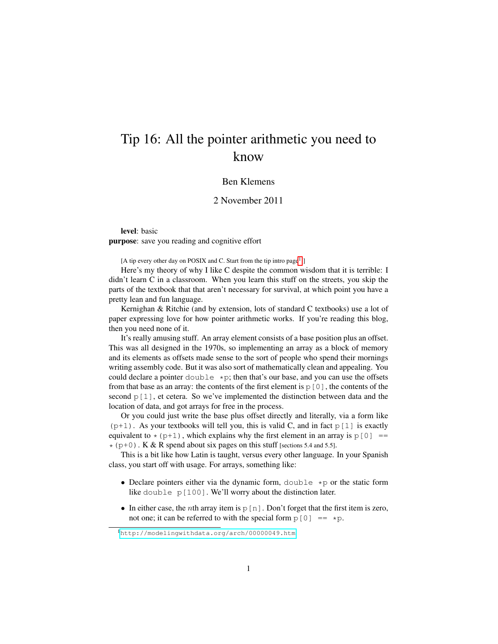## Tip 16: All the pointer arithmetic you need to know

## Ben Klemens

## 2 November 2011

level: basic purpose: save you reading and cognitive effort

[A tip every other day on POSIX and C. Start from the tip intro page<sup>[1](#page-0-0)</sup>.]

Here's my theory of why I like C despite the common wisdom that it is terrible: I didn't learn C in a classroom. When you learn this stuff on the streets, you skip the parts of the textbook that that aren't necessary for survival, at which point you have a pretty lean and fun language.

Kernighan & Ritchie (and by extension, lots of standard C textbooks) use a lot of paper expressing love for how pointer arithmetic works. If you're reading this blog, then you need none of it.

It's really amusing stuff. An array element consists of a base position plus an offset. This was all designed in the 1970s, so implementing an array as a block of memory and its elements as offsets made sense to the sort of people who spend their mornings writing assembly code. But it was also sort of mathematically clean and appealing. You could declare a pointer  $\text{double } *p$ ; then that's our base, and you can use the offsets from that base as an array: the contents of the first element is  $p[0]$ , the contents of the second  $p[1]$ , et cetera. So we've implemented the distinction between data and the location of data, and got arrays for free in the process.

Or you could just write the base plus offset directly and literally, via a form like  $(p+1)$ . As your textbooks will tell you, this is valid C, and in fact  $p[1]$  is exactly equivalent to  $\star$  (p+1), which explains why the first element in an array is p[0] ==  $*(p+0)$ . K & R spend about six pages on this stuff [sections 5.4 and 5.5].

This is a bit like how Latin is taught, versus every other language. In your Spanish class, you start off with usage. For arrays, something like:

- Declare pointers either via the dynamic form,  $double \star p$  or the static form like double p[100]. We'll worry about the distinction later.
- In either case, the *n*th array item is  $p[n]$ . Don't forget that the first item is zero, not one; it can be referred to with the special form  $p[0] = \star p$ .

<span id="page-0-0"></span><sup>1</sup><http://modelingwithdata.org/arch/00000049.htm>